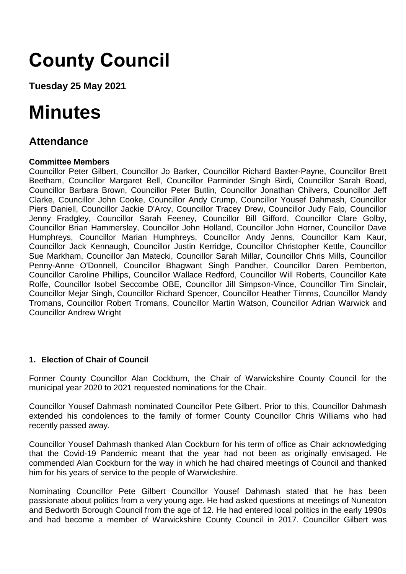# **County Council**

**Tuesday 25 May 2021**

# **Minutes**

## **Attendance**

## **Committee Members**

Councillor Peter Gilbert, Councillor Jo Barker, Councillor Richard Baxter-Payne, Councillor Brett Beetham, Councillor Margaret Bell, Councillor Parminder Singh Birdi, Councillor Sarah Boad, Councillor Barbara Brown, Councillor Peter Butlin, Councillor Jonathan Chilvers, Councillor Jeff Clarke, Councillor John Cooke, Councillor Andy Crump, Councillor Yousef Dahmash, Councillor Piers Daniell, Councillor Jackie D'Arcy, Councillor Tracey Drew, Councillor Judy Falp, Councillor Jenny Fradgley, Councillor Sarah Feeney, Councillor Bill Gifford, Councillor Clare Golby, Councillor Brian Hammersley, Councillor John Holland, Councillor John Horner, Councillor Dave Humphreys, Councillor Marian Humphreys, Councillor Andy Jenns, Councillor Kam Kaur, Councillor Jack Kennaugh, Councillor Justin Kerridge, Councillor Christopher Kettle, Councillor Sue Markham, Councillor Jan Matecki, Councillor Sarah Millar, Councillor Chris Mills, Councillor Penny-Anne O'Donnell, Councillor Bhagwant Singh Pandher, Councillor Daren Pemberton, Councillor Caroline Phillips, Councillor Wallace Redford, Councillor Will Roberts, Councillor Kate Rolfe, Councillor Isobel Seccombe OBE, Councillor Jill Simpson-Vince, Councillor Tim Sinclair, Councillor Mejar Singh, Councillor Richard Spencer, Councillor Heather Timms, Councillor Mandy Tromans, Councillor Robert Tromans, Councillor Martin Watson, Councillor Adrian Warwick and Councillor Andrew Wright

## **1. Election of Chair of Council**

Former County Councillor Alan Cockburn, the Chair of Warwickshire County Council for the municipal year 2020 to 2021 requested nominations for the Chair.

Councillor Yousef Dahmash nominated Councillor Pete Gilbert. Prior to this, Councillor Dahmash extended his condolences to the family of former County Councillor Chris Williams who had recently passed away.

Councillor Yousef Dahmash thanked Alan Cockburn for his term of office as Chair acknowledging that the Covid-19 Pandemic meant that the year had not been as originally envisaged. He commended Alan Cockburn for the way in which he had chaired meetings of Council and thanked him for his years of service to the people of Warwickshire.

Nominating Councillor Pete Gilbert Councillor Yousef Dahmash stated that he has been passionate about politics from a very young age. He had asked questions at meetings of Nuneaton and Bedworth Borough Council from the age of 12. He had entered local politics in the early 1990s and had become a member of Warwickshire County Council in 2017. Councillor Gilbert was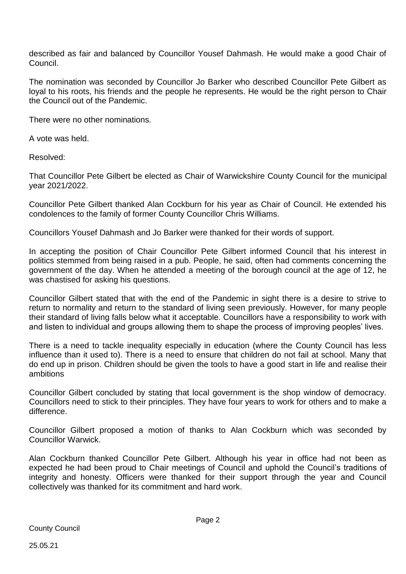described as fair and balanced by Councillor Yousef Dahmash. He would make a good Chair of Council.

The nomination was seconded by Councillor Jo Barker who described Councillor Pete Gilbert as loyal to his roots, his friends and the people he represents. He would be the right person to Chair the Council out of the Pandemic.

There were no other nominations.

A vote was held.

Resolved:

That Councillor Pete Gilbert be elected as Chair of Warwickshire County Council for the municipal year 2021/2022.

Councillor Pete Gilbert thanked Alan Cockburn for his year as Chair of Council. He extended his condolences to the family of former County Councillor Chris Williams.

Councillors Yousef Dahmash and Jo Barker were thanked for their words of support.

In accepting the position of Chair Councillor Pete Gilbert informed Council that his interest in politics stemmed from being raised in a pub. People, he said, often had comments concerning the government of the day. When he attended a meeting of the borough council at the age of 12, he was chastised for asking his questions.

Councillor Gilbert stated that with the end of the Pandemic in sight there is a desire to strive to return to normality and return to the standard of living seen previously. However, for many people their standard of living falls below what it acceptable. Councillors have a responsibility to work with and listen to individual and groups allowing them to shape the process of improving peoples' lives.

There is a need to tackle inequality especially in education (where the County Council has less influence than it used to). There is a need to ensure that children do not fail at school. Many that do end up in prison. Children should be given the tools to have a good start in life and realise their ambitions

Councillor Gilbert concluded by stating that local government is the shop window of democracy. Councillors need to stick to their principles. They have four years to work for others and to make a difference.

Councillor Gilbert proposed a motion of thanks to Alan Cockburn which was seconded by Councillor Warwick.

Alan Cockburn thanked Councillor Pete Gilbert. Although his year in office had not been as expected he had been proud to Chair meetings of Council and uphold the Council's traditions of integrity and honesty. Officers were thanked for their support through the year and Council collectively was thanked for its commitment and hard work.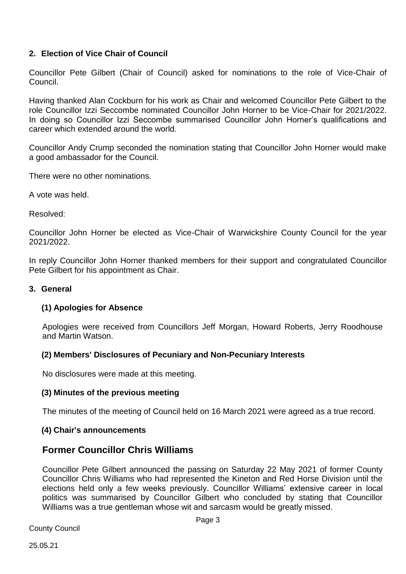## **2. Election of Vice Chair of Council**

Councillor Pete Gilbert (Chair of Council) asked for nominations to the role of Vice-Chair of Council.

Having thanked Alan Cockburn for his work as Chair and welcomed Councillor Pete Gilbert to the role Councillor Izzi Seccombe nominated Councillor John Horner to be Vice-Chair for 2021/2022. In doing so Councillor Izzi Seccombe summarised Councillor John Horner's qualifications and career which extended around the world.

Councillor Andy Crump seconded the nomination stating that Councillor John Horner would make a good ambassador for the Council.

There were no other nominations.

A vote was held.

Resolved:

Councillor John Horner be elected as Vice-Chair of Warwickshire County Council for the year 2021/2022.

In reply Councillor John Horner thanked members for their support and congratulated Councillor Pete Gilbert for his appointment as Chair.

#### **3. General**

#### **(1) Apologies for Absence**

Apologies were received from Councillors Jeff Morgan, Howard Roberts, Jerry Roodhouse and Martin Watson.

#### **(2) Members' Disclosures of Pecuniary and Non-Pecuniary Interests**

No disclosures were made at this meeting.

#### **(3) Minutes of the previous meeting**

The minutes of the meeting of Council held on 16 March 2021 were agreed as a true record.

#### **(4) Chair's announcements**

## **Former Councillor Chris Williams**

Councillor Pete Gilbert announced the passing on Saturday 22 May 2021 of former County Councillor Chris Williams who had represented the Kineton and Red Horse Division until the elections held only a few weeks previously. Councillor Williams' extensive career in local politics was summarised by Councillor Gilbert who concluded by stating that Councillor Williams was a true gentleman whose wit and sarcasm would be greatly missed.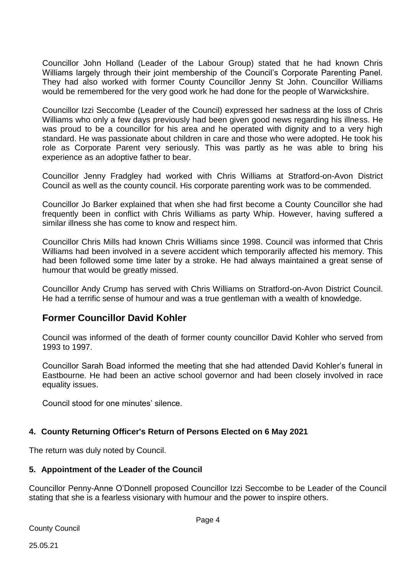Councillor John Holland (Leader of the Labour Group) stated that he had known Chris Williams largely through their joint membership of the Council's Corporate Parenting Panel. They had also worked with former County Councillor Jenny St John. Councillor Williams would be remembered for the very good work he had done for the people of Warwickshire.

Councillor Izzi Seccombe (Leader of the Council) expressed her sadness at the loss of Chris Williams who only a few days previously had been given good news regarding his illness. He was proud to be a councillor for his area and he operated with dignity and to a very high standard. He was passionate about children in care and those who were adopted. He took his role as Corporate Parent very seriously. This was partly as he was able to bring his experience as an adoptive father to bear.

Councillor Jenny Fradgley had worked with Chris Williams at Stratford-on-Avon District Council as well as the county council. His corporate parenting work was to be commended.

Councillor Jo Barker explained that when she had first become a County Councillor she had frequently been in conflict with Chris Williams as party Whip. However, having suffered a similar illness she has come to know and respect him.

Councillor Chris Mills had known Chris Williams since 1998. Council was informed that Chris Williams had been involved in a severe accident which temporarily affected his memory. This had been followed some time later by a stroke. He had always maintained a great sense of humour that would be greatly missed.

Councillor Andy Crump has served with Chris Williams on Stratford-on-Avon District Council. He had a terrific sense of humour and was a true gentleman with a wealth of knowledge.

## **Former Councillor David Kohler**

Council was informed of the death of former county councillor David Kohler who served from 1993 to 1997.

Councillor Sarah Boad informed the meeting that she had attended David Kohler's funeral in Eastbourne. He had been an active school governor and had been closely involved in race equality issues.

Council stood for one minutes' silence.

## **4. County Returning Officer's Return of Persons Elected on 6 May 2021**

The return was duly noted by Council.

## **5. Appointment of the Leader of the Council**

Councillor Penny-Anne O'Donnell proposed Councillor Izzi Seccombe to be Leader of the Council stating that she is a fearless visionary with humour and the power to inspire others.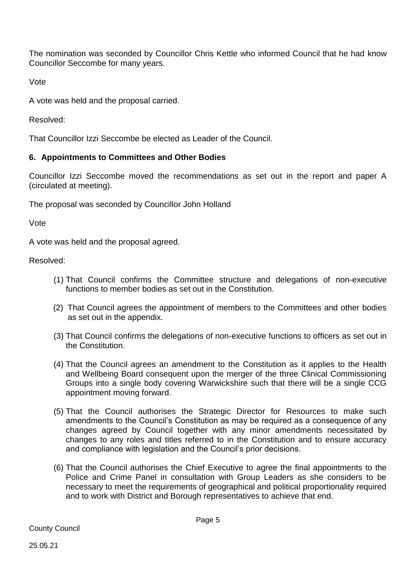The nomination was seconded by Councillor Chris Kettle who informed Council that he had know Councillor Seccombe for many years.

Vote

A vote was held and the proposal carried.

Resolved:

That Councillor Izzi Seccombe be elected as Leader of the Council.

## **6. Appointments to Committees and Other Bodies**

Councillor Izzi Seccombe moved the recommendations as set out in the report and paper A (circulated at meeting).

The proposal was seconded by Councillor John Holland

Vote

A vote was held and the proposal agreed.

Resolved:

- (1) That Council confirms the Committee structure and delegations of non-executive functions to member bodies as set out in the Constitution.
- (2) That Council agrees the appointment of members to the Committees and other bodies as set out in the appendix.
- (3) That Council confirms the delegations of non-executive functions to officers as set out in the Constitution.
- (4) That the Council agrees an amendment to the Constitution as it applies to the Health and Wellbeing Board consequent upon the merger of the three Clinical Commissioning Groups into a single body covering Warwickshire such that there will be a single CCG appointment moving forward.
- (5) That the Council authorises the Strategic Director for Resources to make such amendments to the Council's Constitution as may be required as a consequence of any changes agreed by Council together with any minor amendments necessitated by changes to any roles and titles referred to in the Constitution and to ensure accuracy and compliance with legislation and the Council's prior decisions.
- (6) That the Council authorises the Chief Executive to agree the final appointments to the Police and Crime Panel in consultation with Group Leaders as she considers to be necessary to meet the requirements of geographical and political proportionality required and to work with District and Borough representatives to achieve that end.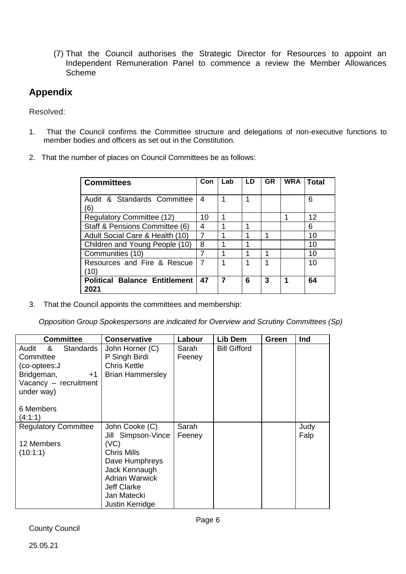(7) That the Council authorises the Strategic Director for Resources to appoint an Independent Remuneration Panel to commence a review the Member Allowances Scheme

## **Appendix**

Resolved:

- 1. That the Council confirms the Committee structure and delegations of non-executive functions to member bodies and officers as set out in the Constitution.
- 2. That the number of places on Council Committees be as follows:

| <b>Committees</b>                            | Con            | Lab | LD | <b>GR</b> | <b>WRA</b> | Total |
|----------------------------------------------|----------------|-----|----|-----------|------------|-------|
| Audit & Standards Committee<br>6             | 4              |     |    |           |            | 6     |
| <b>Regulatory Committee (12)</b>             | 10             | 1   |    |           |            | 12    |
| Staff & Pensions Committee (6)               | 4              |     |    |           |            | 6     |
| Adult Social Care & Health (10)              | 7              |     |    |           |            | 10    |
| Children and Young People (10)               | 8              |     |    |           |            | 10    |
| Communities (10)                             | 7              |     |    |           |            | 10    |
| Resources and Fire & Rescue<br>(10)          | $\overline{7}$ |     |    |           |            | 10    |
| <b>Political Balance Entitlement</b><br>2021 | 47             | 7   | 6  | 3         | 1          | 64    |

3. That the Council appoints the committees and membership:

*Opposition Group Spokespersons are indicated for Overview and Scrutiny Committees (Sp)*

| <b>Committee</b>                                                                                                                          | <b>Conservative</b>                                                                                                                                                             | Labour          | Lib Dem             | Green | Ind          |
|-------------------------------------------------------------------------------------------------------------------------------------------|---------------------------------------------------------------------------------------------------------------------------------------------------------------------------------|-----------------|---------------------|-------|--------------|
| Standards<br>Audit<br>&<br>Committee<br>(co-optees:J<br>Bridgeman,<br>$+1$<br>Vacancy - recruitment<br>under way)<br>6 Members<br>(4:1:1) | John Horner (C)<br>P Singh Birdi<br>Chris Kettle<br><b>Brian Hammersley</b>                                                                                                     | Sarah<br>Feeney | <b>Bill Gifford</b> |       |              |
| <b>Regulatory Committee</b><br>12 Members<br>(10:1:1)                                                                                     | John Cooke (C)<br>Jill Simpson-Vince<br>(VC)<br>Chris Mills<br>Dave Humphreys<br>Jack Kennaugh<br><b>Adrian Warwick</b><br><b>Jeff Clarke</b><br>Jan Matecki<br>Justin Kerridge | Sarah<br>Feeney |                     |       | Judy<br>Falp |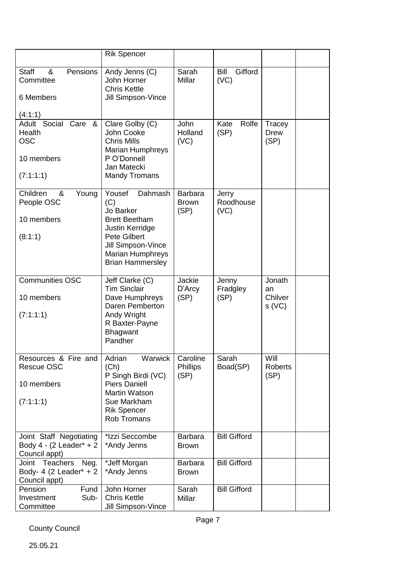|                                                                                                             | <b>Rik Spencer</b>                                                                                                                                                                  |                                        |                                |                                  |  |
|-------------------------------------------------------------------------------------------------------------|-------------------------------------------------------------------------------------------------------------------------------------------------------------------------------------|----------------------------------------|--------------------------------|----------------------------------|--|
|                                                                                                             |                                                                                                                                                                                     |                                        |                                |                                  |  |
| <b>Staff</b><br>&<br>Pensions<br>Committee<br>6 Members                                                     | Andy Jenns (C)<br>John Horner<br><b>Chris Kettle</b><br>Jill Simpson-Vince                                                                                                          | Sarah<br><b>Millar</b>                 | <b>Bill</b><br>Gifford<br>(VC) |                                  |  |
| (4:1:1)<br>Adult Social<br>Care<br>$\boldsymbol{\alpha}$<br>Health<br><b>OSC</b><br>10 members<br>(7:1:1:1) | Clare Golby (C)<br>John Cooke<br><b>Chris Mills</b><br><b>Marian Humphreys</b><br>P O'Donnell<br>Jan Matecki<br><b>Mandy Tromans</b>                                                | John<br>Holland<br>(VC)                | Kate<br>Rolfe<br>(SP)          | Tracey<br><b>Drew</b><br>(SP)    |  |
| Children<br>&<br>Young<br>People OSC<br>10 members<br>(8:1:1)                                               | Dahmash<br>Yousef<br>(C)<br>Jo Barker<br><b>Brett Beetham</b><br>Justin Kerridge<br><b>Pete Gilbert</b><br>Jill Simpson-Vince<br><b>Marian Humphreys</b><br><b>Brian Hammersley</b> | <b>Barbara</b><br><b>Brown</b><br>(SP) | Jerry<br>Roodhouse<br>(VC)     |                                  |  |
| <b>Communities OSC</b><br>10 members<br>(7:1:1:1)                                                           | Jeff Clarke (C)<br><b>Tim Sinclair</b><br>Dave Humphreys<br>Daren Pemberton<br>Andy Wright<br>R Baxter-Payne<br><b>Bhagwant</b><br>Pandher                                          | Jackie<br>D'Arcy<br>(SP)               | Jenny<br>Fradgley<br>(SP)      | Jonath<br>an<br>Chilver<br>s(VC) |  |
| Resources & Fire and<br>Rescue OSC<br>10 members<br>(7:1:1:1)                                               | Warwick<br>Adrian<br>(Ch)<br>P Singh Birdi (VC)<br><b>Piers Daniell</b><br><b>Martin Watson</b><br>Sue Markham<br><b>Rik Spencer</b><br><b>Rob Tromans</b>                          | Caroline<br><b>Phillips</b><br>(SP)    | Sarah<br>Boad(SP)              | Will<br>Roberts<br>(SP)          |  |
| Joint Staff Negotiating<br>Body 4 - $(2$ Leader <sup>*</sup> + 2<br>Council appt)                           | *Izzi Seccombe<br>*Andy Jenns                                                                                                                                                       | <b>Barbara</b><br><b>Brown</b>         | <b>Bill Gifford</b>            |                                  |  |
| Joint Teachers<br>Neg.<br>Body- 4 (2 Leader* $+ 2$<br>Council appt)                                         | *Jeff Morgan<br>*Andy Jenns                                                                                                                                                         | <b>Barbara</b><br><b>Brown</b>         | <b>Bill Gifford</b>            |                                  |  |
| Pension<br>Fund<br>Sub-<br>Investment<br>Committee                                                          | John Horner<br><b>Chris Kettle</b><br>Jill Simpson-Vince                                                                                                                            | Sarah<br>Millar                        | <b>Bill Gifford</b>            |                                  |  |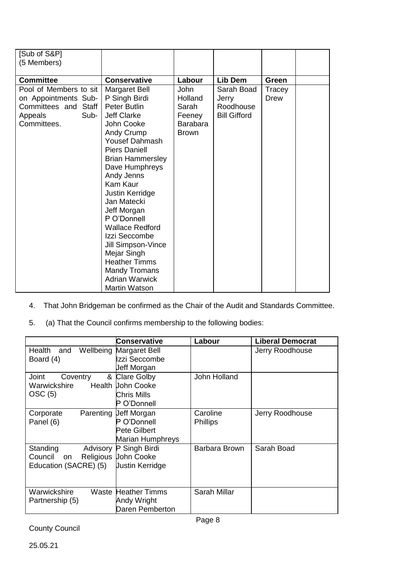| [Sub of S&P]           |                         |              |                     |        |  |
|------------------------|-------------------------|--------------|---------------------|--------|--|
| (5 Members)            |                         |              |                     |        |  |
|                        |                         |              |                     |        |  |
| <b>Committee</b>       | <b>Conservative</b>     | Labour       | Lib Dem             | Green  |  |
| Pool of Members to sit | Margaret Bell           | <b>John</b>  | Sarah Boad          | Tracey |  |
| on Appointments Sub-   | P Singh Birdi           | Holland      | Jerry               | Drew   |  |
| Committees and Staff   | <b>Peter Butlin</b>     | Sarah        | Roodhouse           |        |  |
| Sub-<br>Appeals        | Jeff Clarke             | Feeney       | <b>Bill Gifford</b> |        |  |
| Committees.            | John Cooke              | Barabara     |                     |        |  |
|                        | <b>Andy Crump</b>       | <b>Brown</b> |                     |        |  |
|                        | Yousef Dahmash          |              |                     |        |  |
|                        | <b>Piers Daniell</b>    |              |                     |        |  |
|                        | <b>Brian Hammersley</b> |              |                     |        |  |
|                        | Dave Humphreys          |              |                     |        |  |
|                        | Andy Jenns              |              |                     |        |  |
|                        | <b>Kam Kaur</b>         |              |                     |        |  |
|                        | Justin Kerridge         |              |                     |        |  |
|                        | Jan Matecki             |              |                     |        |  |
|                        | Jeff Morgan             |              |                     |        |  |
|                        | P O'Donnell             |              |                     |        |  |
|                        | <b>Wallace Redford</b>  |              |                     |        |  |
|                        | Izzi Seccombe           |              |                     |        |  |
|                        | Jill Simpson-Vince      |              |                     |        |  |
|                        | Mejar Singh             |              |                     |        |  |
|                        | <b>Heather Timms</b>    |              |                     |        |  |
|                        | <b>Mandy Tromans</b>    |              |                     |        |  |
|                        | <b>Adrian Warwick</b>   |              |                     |        |  |
|                        | <b>Martin Watson</b>    |              |                     |        |  |

- 4. That John Bridgeman be confirmed as the Chair of the Audit and Standards Committee.
- 5. (a) That the Council confirms membership to the following bodies:

|                                         | <b>Conservative</b>            | Labour          | <b>Liberal Democrat</b> |
|-----------------------------------------|--------------------------------|-----------------|-------------------------|
| Wellbeing<br>Health<br>and<br>Board (4) | Margaret Bell<br>Izzi Seccombe |                 | Jerry Roodhouse         |
|                                         | Jeff Morgan                    |                 |                         |
| Joint<br>&<br>Coventry                  | <b>Clare Golby</b>             | John Holland    |                         |
| Warwickshire                            | <b>Health Uohn Cooke</b>       |                 |                         |
| OSC(5)                                  | Chris Mills                    |                 |                         |
|                                         | P O'Donnell                    |                 |                         |
| Corporate                               | Parenting Ueff Morgan          | Caroline        | Jerry Roodhouse         |
| Panel (6)                               | P O'Donnell                    | <b>Phillips</b> |                         |
|                                         | Pete Gilbert                   |                 |                         |
|                                         | Marian Humphreys               |                 |                         |
| Standing                                | Advisory P Singh Birdi         | Barbara Brown   | Sarah Boad              |
| Council<br>on                           | Religious John Cooke           |                 |                         |
| Education (SACRE) (5)                   | <b>Justin Kerridge</b>         |                 |                         |
|                                         |                                |                 |                         |
| Warwickshire<br>Waste                   | <b>Heather Timms</b>           | Sarah Millar    |                         |
| Partnership (5)                         | Andy Wright                    |                 |                         |
|                                         | Daren Pemberton                |                 |                         |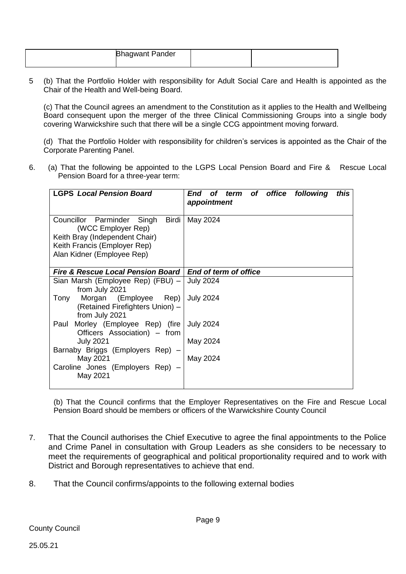| <b>Bhagwant Pander</b> |  |
|------------------------|--|
|                        |  |

5 (b) That the Portfolio Holder with responsibility for Adult Social Care and Health is appointed as the Chair of the Health and Well-being Board.

(c) That the Council agrees an amendment to the Constitution as it applies to the Health and Wellbeing Board consequent upon the merger of the three Clinical Commissioning Groups into a single body covering Warwickshire such that there will be a single CCG appointment moving forward.

(d) That the Portfolio Holder with responsibility for children's services is appointed as the Chair of the Corporate Parenting Panel.

6. (a) That the following be appointed to the LGPS Local Pension Board and Fire & Rescue Local Pension Board for a three-year term:

| <b>LGPS Local Pension Board</b>                                                                                                                              | of term of office following<br>this<br>End<br>appointment |
|--------------------------------------------------------------------------------------------------------------------------------------------------------------|-----------------------------------------------------------|
| Councillor Parminder<br>Singh<br>Birdi<br>(WCC Employer Rep)<br>Keith Bray (Independent Chair)<br>Keith Francis (Employer Rep)<br>Alan Kidner (Employee Rep) | May 2024                                                  |
| <b>Fire &amp; Rescue Local Pension Board</b>                                                                                                                 | End of term of office                                     |
| Sian Marsh (Employee Rep) (FBU) -<br>from July 2021                                                                                                          | <b>July 2024</b>                                          |
| Morgan (Employee<br>Rep)<br>Tony<br>(Retained Firefighters Union) -<br>from July 2021                                                                        | <b>July 2024</b>                                          |
| Morley (Employee Rep) (fire<br>Paul<br>Officers Association) – from                                                                                          | <b>July 2024</b>                                          |
| <b>July 2021</b><br>Barnaby Briggs (Employers Rep)                                                                                                           | May 2024                                                  |
| May 2021<br>Caroline Jones (Employers Rep)<br>May 2021                                                                                                       | May 2024                                                  |

(b) That the Council confirms that the Employer Representatives on the Fire and Rescue Local Pension Board should be members or officers of the Warwickshire County Council

- 7. That the Council authorises the Chief Executive to agree the final appointments to the Police and Crime Panel in consultation with Group Leaders as she considers to be necessary to meet the requirements of geographical and political proportionality required and to work with District and Borough representatives to achieve that end.
- 8. That the Council confirms/appoints to the following external bodies